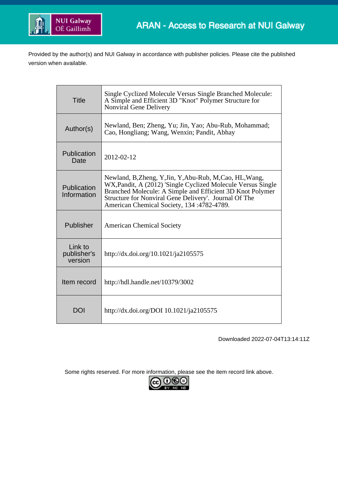

Provided by the author(s) and NUI Galway in accordance with publisher policies. Please cite the published version when available.

| <b>Title</b>                      | Single Cyclized Molecule Versus Single Branched Molecule:<br>A Simple and Efficient 3D "Knot" Polymer Structure for<br>Nonviral Gene Delivery                                                                                                                                               |
|-----------------------------------|---------------------------------------------------------------------------------------------------------------------------------------------------------------------------------------------------------------------------------------------------------------------------------------------|
| Author(s)                         | Newland, Ben; Zheng, Yu; Jin, Yao; Abu-Rub, Mohammad;<br>Cao, Hongliang; Wang, Wenxin; Pandit, Abhay                                                                                                                                                                                        |
| Publication<br>Date               | 2012-02-12                                                                                                                                                                                                                                                                                  |
| Publication<br>Information        | Newland, B, Zheng, Y, Jin, Y, Abu-Rub, M, Cao, HL, Wang,<br>WX, Pandit, A (2012) 'Single Cyclized Molecule Versus Single<br>Branched Molecule: A Simple and Efficient 3D Knot Polymer<br>Structure for Nonviral Gene Delivery'. Journal Of The<br>American Chemical Society, 134:4782-4789. |
| Publisher                         | <b>American Chemical Society</b>                                                                                                                                                                                                                                                            |
| Link to<br>publisher's<br>version | http://dx.doi.org/10.1021/ja2105575                                                                                                                                                                                                                                                         |
| Item record                       | http://hdl.handle.net/10379/3002                                                                                                                                                                                                                                                            |
| DOI                               | http://dx.doi.org/DOI 10.1021/ja2105575                                                                                                                                                                                                                                                     |

Downloaded 2022-07-04T13:14:11Z

Some rights reserved. For more information, please see the item record link above.

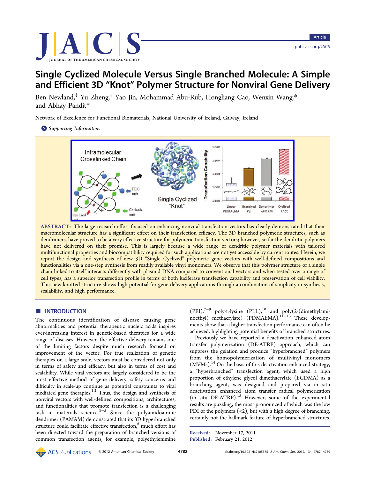

# Single Cyclized Molecule Versus Single Branched Molecule: A Simple and Efficient 3D "Knot" Polymer Structure for Nonviral Gene Delivery

Ben Newland,<sup>[‡](#page-8-0)</sup> Yu Zheng,<sup>‡</sup> Yao Jin, Mohammad Abu-Rub, Hongliang Cao, Wenxin Wang,[\\*](#page-8-0) and Abhay Pandit[\\*](#page-8-0)

Network of Excellence for Functional Biomaterials, National University of Ireland, Galway, Ireland

**S** [Supporting Information](#page-7-0)



ABSTRACT: The large research effort focused on enhancing nonviral transfection vectors has clearly demonstrated that their macromolecular structure has a significant effect on their transfection efficacy. The 3D branched polymeric structures, such as dendrimers, have proved to be a very effective structure for polymeric transfection vectors; however, so far the dendritic polymers have not delivered on their promise. This is largely because a wide range of dendritic polymer materials with tailored multifunctional properties and biocompatibility required for such applications are not yet accessible by current routes. Herein, we report the design and synthesis of new 3D "Single Cyclized" polymeric gene vectors with well-defined compositions and functionalities via a one-step synthesis from readily available vinyl monomers. We observe that this polymer structure of a single chain linked to itself interacts differently with plasmid DNA compared to conventional vectors and when tested over a range of cell types, has a superior transfection profile in terms of both luciferase transfection capability and preservation of cell viability. This new knotted structure shows high potential for gene delivery applications through a combination of simplicity in synthesis, scalability, and high performance.

## **■ INTRODUCTION**

The continuous identification of disease causing gene abnormalities and potential therapeutic nucleic acids inspires ever-increasing interest in genetic-based therapies for a wide range of diseases. However, the effective delivery remains one of the limiting factors despite much research focused on improvement of the vector. For true realization of genetic therapies on a large scale, vectors must be considered not only in terms of safety and efficacy, but also in terms of cost and scalability. While viral vectors are largely considered to be the most effective method of gene delivery, safety concerns and difficulty in scale-up continue as potential constraints to viral mediated gene therapies.<sup>[1,2](#page-8-0)</sup> Thus, the design and synthesis of nonviral vectors with well-defined compositions, architectures, and functionalities that promote transfection is a challenging task in materials science.[3](#page-8-0)−[5](#page-8-0) Since the polyamidoamine dendrimer (PAMAM) demonstrated that its 3D hyperbranched structure could facilitate effective transfection,<sup>[6](#page-8-0)</sup> much effort has been directed toward the preparation of branched versions of common transfection agents, for example, polyethylenimine

(PEI),[7](#page-8-0)−[9](#page-8-0) poly-L-lysine (PLL),[10](#page-8-0) and poly(2-(dimethylami-noethyl) methacrylate) (PDMAEMA).<sup>[11](#page-8-0)−[13](#page-8-0)</sup> These developments show that a higher transfection performance can often be achieved, highlighting potential benefits of branched structures.

Previously we have reported a deactivation enhanced atom transfer polymerization (DE-ATRP) approach, which can suppress the gelation and produce "hyperbranched" polymers from the homopolymerization of multivinyl monomers  $(MVMs).<sup>14</sup>$  $(MVMs).<sup>14</sup>$  $(MVMs).<sup>14</sup>$  On the basis of this deactivation enhanced strategy, a "hyperbranched" transfection agent, which used a high proportion of ethylene glycol dimethacrylate (EGDMA) as a branching agent, was designed and prepared via in situ deactivation enhanced atom transfer radical polymerization (in situ DE-ATRP).<sup>[15](#page-8-0)</sup> However, some of the experimental results are puzzling, the most pronounced of which was the low PDI of the polymers  $( $2$ ), but with a high degree of branching,$ certainly not the hallmark feature of hyperbranched structures.

Received: November 17, 2011 Published: February 21, 2012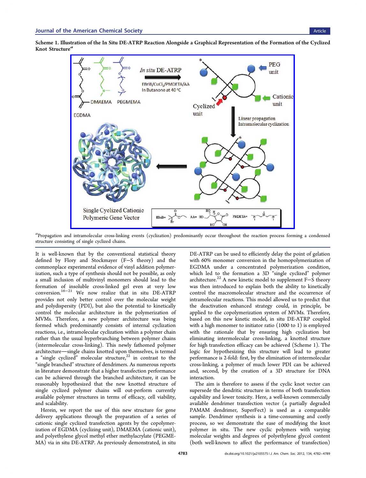<span id="page-2-0"></span>Scheme 1. Illustration of the In Situ DE-ATRP Reaction Alongside a Graphical Representation of the Formation of the Cyclized Knot Structure<sup>a</sup>



a<br>Propagation and intramolecular cross-linking events (cyclization) predominantly occur throughout the reaction process forming a condensed structure consisting of single cyclized chains.

It is well-known that by the conventional statistical theory defined by Flory and Stockmayer (F−S theory) and the commonplace experimental evidence of vinyl addition polymerization, such a type of synthesis should not be possible, as only a small inclusion of multivinyl monomers should lead to the formation of insoluble cross-linked gel even at very low conversion.[16](#page-8-0)−[21](#page-8-0) We now realize that in situ DE-ATRP provides not only better control over the molecular weight and polydispersity (PDI), but also the potential to kinetically control the molecular architecture in the polymerization of MVMs. Therefore, a new polymer architecture was being formed which predominantly consists of internal cyclization reactions, i.e., intramolecular cyclization within a polymer chain rather than the usual hyperbranching between polymer chains (intermolecular cross-linking). This newly fathomed polymer architecture—single chains knotted upon themselves, is termed a "single cyclized" molecular structure, $22$  in contrast to the "single branched" structure of dendrimers. As numerous reports in literature demonstrate that a higher transfection performance can be achieved through the branched architecture, it can be reasonably hypothesized that the new knotted structure of single cyclized polymer chains will out-perform currently available polymer structures in terms of efficacy, cell viability, and scalability.

Herein, we report the use of this new structure for gene delivery applications through the preparation of a series of cationic single cyclized transfection agents by the copolymerization of EGDMA (cyclizing unit), DMAEMA (cationic unit), and polyethylene glycol methyl ether methylacrylate (PEGME-MA) via in situ DE-ATRP. As previously demonstrated, in situ

DE-ATRP can be used to efficiently delay the point of gelation with 60% monomer conversion in the homopolymerization of EGDMA under a concentrated polymerization condition, which led to the formation a 3D "single cyclized" polymer architecture.[22](#page-8-0) A new kinetic model to supplement F−S theory was then introduced to explain both the ability to kinetically control the macromolecular structure and the occurrence of intramolecular reactions. This model allowed us to predict that the deactivation enhanced strategy could, in principle, be applied to the copolymerization system of MVMs. Therefore, based on this new kinetic model, in situ DE-ATRP coupled with a high monomer to initiator ratio (1000 to 1) is employed with the rationale that by ensuring high cyclization but eliminating intermolecular cross-linking, a knotted structure for high transfection efficacy can be achieved (Scheme 1). The logic for hypothesizing this structure will lead to greater performance is 2-fold: first, by the elimination of intermolecular cross-linking, a polymer of much lower PDI can be achieved and, second, by the creation of a 3D structure for DNA interaction.

The aim is therefore to assess if the cyclic knot vector can supersede the dendritic structure in terms of both transfection capability and lower toxicity. Here, a well-known commercially available dendrimer transfection vector (a partially degraded PAMAM dendrimer, SuperFect) is used as a comparable sample. Dendrimer synthesis is a time-consuming and costly process, so we demonstrate the ease of modifying the knot polymer in situ. The new cyclic polymers with varying molecular weights and degrees of polyethylene glycol content (both well-known to affect the performance of transfection)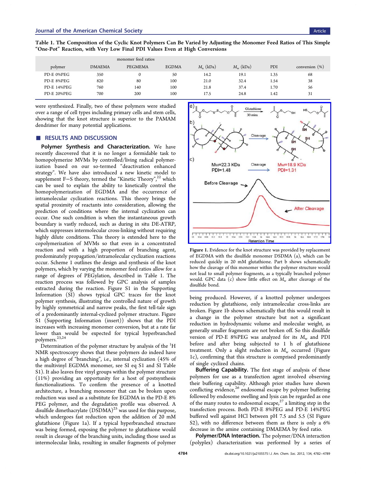|             |               | monomer feed ratios |              |               |                   |      |                   |
|-------------|---------------|---------------------|--------------|---------------|-------------------|------|-------------------|
| polymer     | <b>DMAEMA</b> | PEGMEMA             | <b>EGDMA</b> | $M_{n}$ (kDa) | $M_{\rm w}$ (kDa) | PDI  | conversion $(\%)$ |
| PD-E 0%PEG  | 350           | $\mathbf{0}$        | 50           | 14.2          | 19.1              | 1.35 | 68                |
| PD-E 8%PEG  | 820           | 80                  | 100          | 21.0          | 32.4              | 1.54 | 38                |
| PD-E 14%PEG | 760           | 140                 | 100          | 21.8          | 37.4              | 1.70 | 56                |
| PD-E 20%PEG | 700           | 200                 | 100          | 17.5          | 24.8              | 1.42 | 31                |

Table 1. The Composition of the Cyclic Knot Polymers Can Be Varied by Adjusting the Monomer Feed Ratios of This Simple "One-Pot" Reaction, with Very Low Final PDI Values Even at High Conversions

were synthesized. Finally, two of these polymers were studied over a range of cell types including primary cells and stem cells, showing that the knot structure is superior to the PAMAM dendrimer for many potential applications.

#### ■ RESULTS AND DISCUSSION

Polymer Synthesis and Characterization. We have recently discovered that it is no longer a formidable task to homopolymerize MVMs by controlled/living radical polymerization based on our so-termed "deactivation enhanced strategy". We have also introduced a new kinetic model to supplement F–S theory, termed the "Kinetic Theory",<sup>[22](#page-8-0)</sup> which can be used to explain the ability to kinetically control the homopolymerization of EGDMA and the occurrence of intramolecular cyclization reactions. This theory brings the spatial proximity of reactants into consideration, allowing the prediction of conditions where the internal cyclization can occur. One such condition is when the instantaneous growth boundary is vastly reduced, such as during in situ DE-ATRP, which suppresses intermolecular cross-linking without requiring highly dilute conditions. This theory is extended here to the copolymerization of MVMs so that even in a concentrated reaction and with a high proportion of branching agent, predominately propagation/intramolecular cyclization reactions occur. Scheme [1](#page-2-0) outlines the design and synthesis of the knot polymers, which by varying the monomer feed ratios allow for a range of degrees of PEGylation, described in Table 1. The reaction process was followed by GPC analysis of samples extracted during the reaction. Figure S1 in the [Supporting](#page-7-0) [Information](#page-7-0) (SI) shows typical GPC traces for the knot polymer synthesis, illustrating the controlled nature of growth by highly symmetrical and narrow peaks, the first tell-tale sign of a predominantly internal-cyclized polymer structure. Figure S1 ([Supporting Information](#page-7-0) (insert)) shows that the PDI increases with increasing monomer conversion, but at a rate far lower than would be expected for typical hyperbranched polymers.<sup>[23](#page-8-0),[24](#page-8-0)</sup>

Determination of the polymer structure by analysis of the  $^1\mathrm{H}$ NMR spectroscopy shows that these polymers do indeed have a high degree of "branching", i.e., internal cyclization (45% of the multivinyl EGDMA monomer, see [SI](#page-7-0) eq S1 and [SI](#page-7-0) Table S1). It also leaves free vinyl groups within the polymer structure (11%) providing an opportunity for a host of postsynthesis functionalizations. To confirm the presence of a knotted architecture, a branching monomer that can be broken upon reduction was used as a substitute for EGDMA in the PD-E 8% PEG polymer, and the degradation profile was observed. A disulfide dimethacrylate  $(DSDMA)^{25}$  $(DSDMA)^{25}$  $(DSDMA)^{25}$  was used for this purpose, which undergoes fast reduction upon the addition of 20 mM glutathione (Figure 1a). If a typical hyperbranched structure was being formed, exposing the polymer to glutathione would result in cleavage of the branching units, including those used as intermolecular links, resulting in smaller fragments of polymer



Figure 1. Evidence for the knot structure was provided by replacement of EGDMA with the disulfide monomer DSDMA (a), which can be reduced quickly in 20 mM glutathione. Part b shows schematically how the cleavage of this monomer within the polymer structure would not lead to small polymer fragments, as a typically branched polymer would. GPC data (c) show little effect on  $M_{\rm w}$  after cleavage of the disulfide bond.

being produced. However, if a knotted polymer undergoes reduction by glutathione, only intramolecular cross-links are broken. Figure 1b shows schematically that this would result in a change in the polymer structure but not a significant reduction in hydrodynamic volume and molecular weight, as generally smaller fragments are not broken off. So this disulfide version of PD-E 8%PEG was analyzed for its  $M_w$  and PDI before and after being subjected to 1 h of glutathione treatment. Only a slight reduction in  $M_w$  occurred (Figure 1c), confirming that this structure is comprised predominantly of single cyclized chains.

Buffering Capability. The first stage of analysis of these polymers for use as a transfection agent involved observing their buffering capability. Although prior studies have shown conflicting evidence,<sup>[26](#page-8-0)</sup> endosomal escape by polymer buffering followed by endosome swelling and lysis can be regarded as one of the many routes to endosomal escape, $27$  a limiting step in the transfection process. Both PD-E 8%PEG and PD-E 14%PEG buffered well against HCl between pH 7.5 and 5.5 ([SI](#page-7-0) Figure S2), with no difference between them as there is only a 6% decrease in the amine containing DMAEMA by feed ratio.

Polymer/DNA Interaction. The polymer/DNA interaction (polyplex) characterization was performed by a series of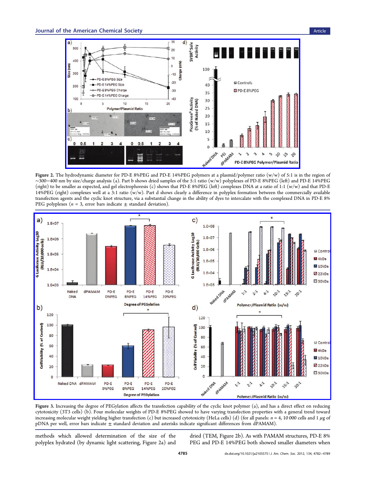<span id="page-4-0"></span>

Figure 2. The hydrodynamic diameter for PD-E 8%PEG and PD-E 14%PEG polymers at a plasmid/polymer ratio (w/w) of 5:1 is in the region of ∼300−400 nm by size/charge analysis (a). Part b shows dried samples of the 5:1 ratio (w/w) polyplexes of PD-E 8%PEG (left) and PD-E 14%PEG (right) to be smaller as expected, and gel electrophoresis (c) shows that PD-E 8%PEG (left) complexes DNA at a ratio of 1:1 (w/w) and that PD-E 14%PEG (right) complexes well at a 3:1 ratio  $(w/w)$ . Part d shows clearly a difference in polyplex formation between the commercially available transfection agents and the cyclic knot structure, via a substantial change in the ability of dyes to intercalate with the complexed DNA in PD-E 8% PEG polyplexes ( $n = 3$ , error bars indicate  $\pm$  standard deviation).



Figure 3. Increasing the degree of PEGylation affects the transfection capability of the cyclic knot polymer (a), and has a direct effect on reducing cytotoxicity (3T3 cells) (b). Four molecular weights of PD-E 8%PEG showed to have varying transfection properties with a general trend toward increasing molecular weight yielding higher transfection (c) but increased cytotoxicity (HeLa cells) (d) (for all panels:  $n = 4$ , 10 000 cells and 1  $\mu$ g of pDNA per well, error bars indicate ± standard deviation and asterisks indicate significant differences from dPAMAM).

methods which allowed determination of the size of the polyplex hydrated (by dynamic light scattering, Figure 2a) and

dried (TEM, Figure 2b). As with PAMAM structures, PD-E 8% PEG and PD-E 14%PEG both showed smaller diameters when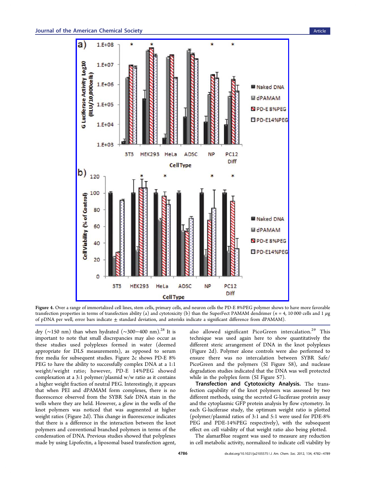<span id="page-5-0"></span>

Figure 4. Over a range of immortalized cell lines, stem cells, primary cells, and neuron cells the PD-E 8%PEG polymer shows to have more favorable transfection properties in terms of transfection ability (a) and cytotoxicity (b) than the SuperFect PAMAM dendrimer ( $n = 4$ , 10 000 cells and 1  $\mu$ g of pDNA per well, error bars indicate  $\pm$  standard deviation, and asterisks indicate a significant difference from dPAMAM).

dry (∼150 nm) than when hydrated (∼300−400 nm).[28](#page-8-0) It is important to note that small discrepancies may also occur as these studies used polyplexes formed in water (deemed appropriate for DLS measurements), as opposed to serum free media for subsequent studies. Figure [2c](#page-4-0) shows PD-E 8% PEG to have the ability to successfully complex DNA at a 1:1 weight/weight ratio; however, PD-E 14%PEG showed complexation at a 3:1 polymer/plasmid w/w ratio as it contains a higher weight fraction of neutral PEG. Interestingly, it appears that when PEI and dPAMAM form complexes, there is no fluorescence observed from the SYBR Safe DNA stain in the wells where they are held. However, a glow in the wells of the knot polymers was noticed that was augmented at higher weight ratios (Figure [2d](#page-4-0)). This change in fluorescence indicates that there is a difference in the interaction between the knot polymers and conventional branched polymers in terms of the condensation of DNA. Previous studies showed that polyplexes made by using Lipofectin, a liposomal based transfection agent,

also allowed significant PicoGreen intercalation.<sup>[29](#page-8-0)</sup> This technique was used again here to show quantitatively the different steric arrangement of DNA in the knot polyplexes (Figure [2d](#page-4-0)). Polymer alone controls were also performed to ensure there was no intercalation between SYBR Safe/ PicoGreen and the polymers [\(SI](#page-7-0) Figure S8), and nuclease degradation studies indicated that the DNA was well protected while in the polyplex form [\(SI](#page-7-0) Figure S7).

Transfection and Cytotoxicity Analysis. The transfection capability of the knot polymers was assessed by two different methods, using the secreted G-luciferase protein assay and the cytoplasmic GFP protein analysis by flow cytometry. In each G-luciferase study, the optimum weight ratio is plotted (polymer/plasmid ratios of 3:1 and 5:1 were used for PDE-8% PEG and PDE-14%PEG respectively), with the subsequent effect on cell viability of that weight ratio also being plotted.

The alamarBlue reagent was used to measure any reduction in cell metabolic activity, normalized to indicate cell viability by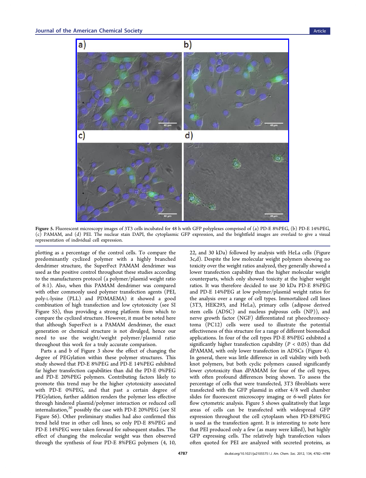

Figure 5. Fluorescent microscopy images of 3T3 cells incubated for 48 h with GFP polyplexes comprised of (a) PD-E 8%PEG, (b) PD-E 14%PEG, (c) PAMAM, and (d) PEI. The nuclear stain DAPI, the cytoplasmic GFP expression, and the brightfield images are overlaid to give a visual representation of individual cell expression.

plotting as a percentage of the control cells. To compare the predominantly cyclized polymer with a highly branched dendrimer structure, the SuperFect PAMAM dendrimer was used as the positive control throughout these studies according to the manufacturers protocol (a polymer/plasmid weight ratio of 8:1). Also, when this PAMAM dendrimer was compared with other commonly used polymer transfection agents (PEI, poly-L-lysine (PLL) and PDMAEMA) it showed a good combination of high transfection and low cytotoxicity (see [SI](#page-7-0) Figure S5), thus providing a strong platform from which to compare the cyclized structure. However, it must be noted here that although SuperFect is a PAMAM dendrimer, the exact generation or chemical structure is not divulged, hence our need to use the weight/weight polymer/plasmid ratio throughout this work for a truly accurate comparison.

Parts a and b of Figure [3](#page-4-0) show the effect of changing the degree of PEGylation within these polymer structures. This study showed that PD-E 8%PEG and PD-E 14%PEG exhibited far higher transfection capabilities than did the PD-E 0%PEG and PD-E 20%PEG polymers. Contributing factors likely to promote this trend may be the higher cytotoxicity associated with PD-E 0%PEG, and that past a certain degree of PEGylation, further addition renders the polymer less effective through hindered plasmid/polymer interaction or reduced cell internalization, $30$  possibly the case with PD-E 20%PEG (see [SI](#page-7-0) Figure S6). Other preliminary studies had also confirmed this trend held true in other cell lines, so only PD-E 8%PEG and PD-E 14%PEG were taken forward for subsequent studies. The effect of changing the molecular weight was then observed through the synthesis of four PD-E 8%PEG polymers (4, 10,

22, and 30 kDa) followed by analysis with HeLa cells (Figure [3](#page-4-0)c,d). Despite the low molecular weight polymers showing no toxicity over the weight ratios analyzed, they generally showed a lower transfection capability than the higher molecular weight counterparts, which only showed toxicity at the higher weight ratios. It was therefore decided to use 30 kDa PD-E 8%PEG and PD-E 14%PEG at low polymer/plasmid weight ratios for the analysis over a range of cell types. Immortalized cell lines (3T3, HEK293, and HeLa), primary cells (adipose derived stem cells (ADSC) and nucleus pulposus cells (NP)), and nerve growth factor (NGF) differentiated rat pheochromocytoma (PC12) cells were used to illustrate the potential effectiveness of this structure for a range of different biomedical applications. In four of the cell types PD-E 8%PEG exhibited a significantly higher transfection capability ( $P < 0.05$ ) than did dPAMAM, with only lower transfection in ADSCs (Figure [4\)](#page-5-0). In general, there was little difference in cell viability with both knot polymers, but both cyclic polymers caused significantly lower cytotoxicity than dPAMAM for four of the cell types, with often profound differences being shown. To assess the percentage of cells that were transfected, 3T3 fibroblasts were transfected with the GFP plasmid in either 4/8 well chamber slides for fluorescent microscopy imaging or 6-well plates for flow cytometric analysis. Figure 5 shows qualitatively that large areas of cells can be transfected with widespread GFP expression throughout the cell cytoplasm when PD-E8%PEG is used as the transfection agent. It is interesting to note here that PEI produced only a few (as many were killed), but highly GFP expressing cells. The relatively high transfection values often quoted for PEI are analyzed with secreted proteins, as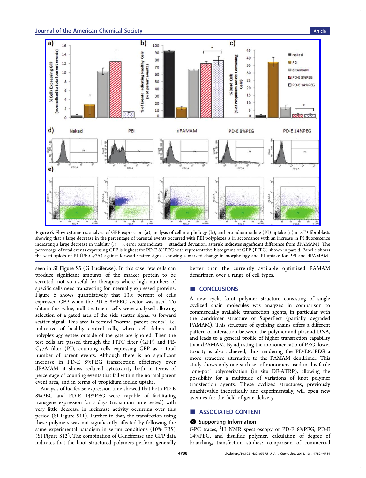<span id="page-7-0"></span>

Figure 6. Flow cytometric analysis of GFP expression (a), analysis of cell morphology (b), and propidium iodide (PI) uptake (c) in 3T3 fibroblasts showing that a large decrease in the percentage of parental events occurred with PEI polyplexes is in accordance with an increase in PI fluorescence indicating a large decrease in viability  $(n = 3$ , error bars indicate  $\pm$  standard deviation, asterisk indicates significant difference from dPAMAM). The percentage of total events expressing GFP is highest for PD-E 8%PEG with representative histograms of GFP (FITC) shown in part d. Panel e shows the scatterplots of PI (PE-Cy7A) against forward scatter signal, showing a marked change in morphology and PI uptake for PEI and dPAMAM.

seen in SI Figure S5 (G Luciferase). In this case, few cells can produce significant amounts of the marker protein to be secreted, not so useful for therapies where high numbers of specific cells need transfecting for internally expressed proteins. Figure 6 shows quantitatively that 13% percent of cells expressed GFP when the PD-E 8%PEG vector was used. To obtain this value, null treatment cells were analyzed allowing selection of a gated area of the side scatter signal vs forward scatter signal. This area is termed "normal parent events", i.e. indicative of healthy control cells, where cell debris and polyplex aggregates outside of the gate are ignored. Then the test cells are passed through the FITC filter (GFP) and PE-Cy7A filter (PI), counting cells expressing GFP as a total number of parent events. Although there is no significant increase in PD-E 8%PEG transfection efficiency over dPAMAM, it shows reduced cytotoxicity both in terms of percentage of counting events that fall within the normal parent event area, and in terms of propidium iodide uptake.

Analysis of luciferase expression time showed that both PD-E 8%PEG and PD-E 14%PEG were capable of facilitating transgene expression for 7 days (maximum time tested) with very little decrease in luciferase activity occurring over this period (SI Figure S11). Further to that, the transfection using these polymers was not significantly affected by following the same experimental paradigm in serum conditions (10% FBS) (SI Figure S12). The combination of G-luciferase and GFP data indicates that the knot structured polymers perform generally

better than the currently available optimized PAMAM dendrimer, over a range of cell types.

## ■ CONCLUSIONS

A new cyclic knot polymer structure consisting of single cyclized chain molecules was analyzed in comparison to commercially available transfection agents, in particular with the dendrimer structure of SuperFect (partially degraded PAMAM). This structure of cyclizing chains offers a different pattern of interaction between the polymer and plasmid DNA, and leads to a general profile of higher transfection capability than dPAMAM. By adjusting the monomer ratio of PEG, lower toxicity is also achieved, thus rendering the PD-E8%PEG a more attractive alternative to the PAMAM dendrimer. This study shows only one such set of monomers used in this facile "one-pot" polymerization (in situ DE-ATRP), allowing the possibility for a multitude of variations of knot polymer transfection agents. These cyclized structures, previously unachievable theoretically and experimentally, will open new avenues for the field of gene delivery.

## ■ ASSOCIATED CONTENT

#### **S** Supporting Information

GPC traces, <sup>1</sup>H NMR spectroscopy of PD-E 8%PEG, PD-E 14%PEG, and disulfide polymer, calculation of degree of branching, transfection studies: comparison of commercial